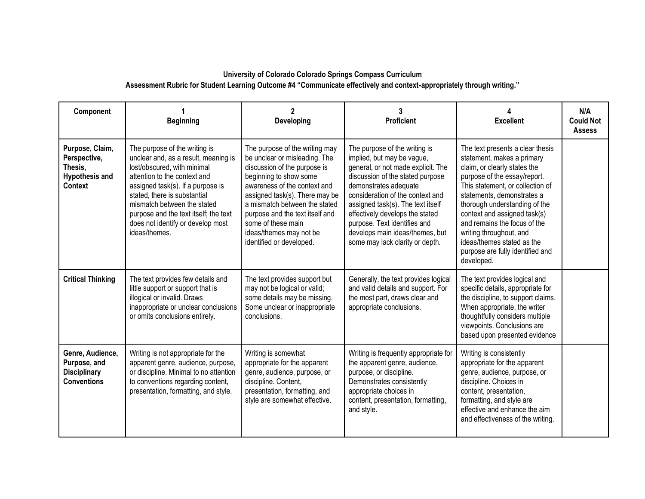## **University of Colorado Colorado Springs Compass Curriculum Assessment Rubric for Student Learning Outcome #4 "Communicate effectively and context-appropriately through writing."**

| Component                                                                             | <b>Beginning</b>                                                                                                                                                                                                                                                                                                                        | <b>Developing</b>                                                                                                                                                                                                                                                                                                                            | 3<br><b>Proficient</b>                                                                                                                                                                                                                                                                                                                                                           | <b>Excellent</b>                                                                                                                                                                                                                                                                                                                                                                                             | N/A<br><b>Could Not</b><br><b>Assess</b> |
|---------------------------------------------------------------------------------------|-----------------------------------------------------------------------------------------------------------------------------------------------------------------------------------------------------------------------------------------------------------------------------------------------------------------------------------------|----------------------------------------------------------------------------------------------------------------------------------------------------------------------------------------------------------------------------------------------------------------------------------------------------------------------------------------------|----------------------------------------------------------------------------------------------------------------------------------------------------------------------------------------------------------------------------------------------------------------------------------------------------------------------------------------------------------------------------------|--------------------------------------------------------------------------------------------------------------------------------------------------------------------------------------------------------------------------------------------------------------------------------------------------------------------------------------------------------------------------------------------------------------|------------------------------------------|
| Purpose, Claim,<br>Perspective,<br>Thesis,<br><b>Hypothesis and</b><br><b>Context</b> | The purpose of the writing is<br>unclear and, as a result, meaning is<br>lost/obscured, with minimal<br>attention to the context and<br>assigned task(s). If a purpose is<br>stated, there is substantial<br>mismatch between the stated<br>purpose and the text itself; the text<br>does not identify or develop most<br>ideas/themes. | The purpose of the writing may<br>be unclear or misleading. The<br>discussion of the purpose is<br>beginning to show some<br>awareness of the context and<br>assigned task(s). There may be<br>a mismatch between the stated<br>purpose and the text itself and<br>some of these main<br>ideas/themes may not be<br>identified or developed. | The purpose of the writing is<br>implied, but may be vague,<br>general, or not made explicit. The<br>discussion of the stated purpose<br>demonstrates adequate<br>consideration of the context and<br>assigned task(s). The text itself<br>effectively develops the stated<br>purpose. Text identifies and<br>develops main ideas/themes, but<br>some may lack clarity or depth. | The text presents a clear thesis<br>statement, makes a primary<br>claim, or clearly states the<br>purpose of the essay/report.<br>This statement, or collection of<br>statements, demonstrates a<br>thorough understanding of the<br>context and assigned task(s)<br>and remains the focus of the<br>writing throughout, and<br>ideas/themes stated as the<br>purpose are fully identified and<br>developed. |                                          |
| <b>Critical Thinking</b>                                                              | The text provides few details and<br>little support or support that is<br>illogical or invalid. Draws<br>inappropriate or unclear conclusions<br>or omits conclusions entirely.                                                                                                                                                         | The text provides support but<br>may not be logical or valid;<br>some details may be missing.<br>Some unclear or inappropriate<br>conclusions.                                                                                                                                                                                               | Generally, the text provides logical<br>and valid details and support. For<br>the most part, draws clear and<br>appropriate conclusions.                                                                                                                                                                                                                                         | The text provides logical and<br>specific details, appropriate for<br>the discipline, to support claims.<br>When appropriate, the writer<br>thoughtfully considers multiple<br>viewpoints. Conclusions are<br>based upon presented evidence                                                                                                                                                                  |                                          |
| Genre, Audience,<br>Purpose, and<br><b>Disciplinary</b><br><b>Conventions</b>         | Writing is not appropriate for the<br>apparent genre, audience, purpose,<br>or discipline. Minimal to no attention<br>to conventions regarding content,<br>presentation, formatting, and style.                                                                                                                                         | Writing is somewhat<br>appropriate for the apparent<br>genre, audience, purpose, or<br>discipline. Content,<br>presentation, formatting, and<br>style are somewhat effective.                                                                                                                                                                | Writing is frequently appropriate for<br>the apparent genre, audience,<br>purpose, or discipline.<br>Demonstrates consistently<br>appropriate choices in<br>content, presentation, formatting,<br>and style.                                                                                                                                                                     | Writing is consistently<br>appropriate for the apparent<br>genre, audience, purpose, or<br>discipline. Choices in<br>content, presentation,<br>formatting, and style are<br>effective and enhance the aim<br>and effectiveness of the writing.                                                                                                                                                               |                                          |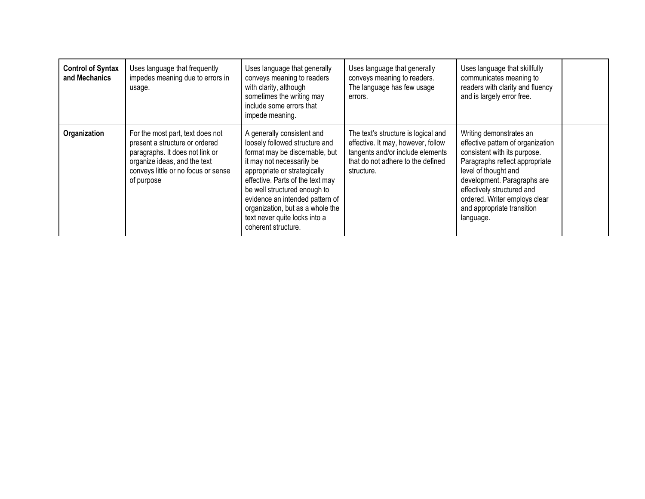| <b>Control of Syntax</b><br>and Mechanics | Uses language that frequently<br>impedes meaning due to errors in<br>usage.                                                                                                                | Uses language that generally<br>conveys meaning to readers<br>with clarity, although<br>sometimes the writing may<br>include some errors that<br>impede meaning.                                                                                                                                                                                               | Uses language that generally<br>conveys meaning to readers.<br>The language has few usage<br>errors.                                                             | Uses language that skillfully<br>communicates meaning to<br>readers with clarity and fluency<br>and is largely error free.                                                                                                                                                                      |  |
|-------------------------------------------|--------------------------------------------------------------------------------------------------------------------------------------------------------------------------------------------|----------------------------------------------------------------------------------------------------------------------------------------------------------------------------------------------------------------------------------------------------------------------------------------------------------------------------------------------------------------|------------------------------------------------------------------------------------------------------------------------------------------------------------------|-------------------------------------------------------------------------------------------------------------------------------------------------------------------------------------------------------------------------------------------------------------------------------------------------|--|
| Organization                              | For the most part, text does not<br>present a structure or ordered<br>paragraphs. It does not link or<br>organize ideas, and the text<br>conveys little or no focus or sense<br>of purpose | A generally consistent and<br>loosely followed structure and<br>format may be discernable, but<br>it may not necessarily be<br>appropriate or strategically<br>effective. Parts of the text may<br>be well structured enough to<br>evidence an intended pattern of<br>organization, but as a whole the<br>text never quite locks into a<br>coherent structure. | The text's structure is logical and<br>effective. It may, however, follow<br>tangents and/or include elements<br>that do not adhere to the defined<br>structure. | Writing demonstrates an<br>effective pattern of organization<br>consistent with its purpose.<br>Paragraphs reflect appropriate<br>level of thought and<br>development. Paragraphs are<br>effectively structured and<br>ordered. Writer employs clear<br>and appropriate transition<br>language. |  |